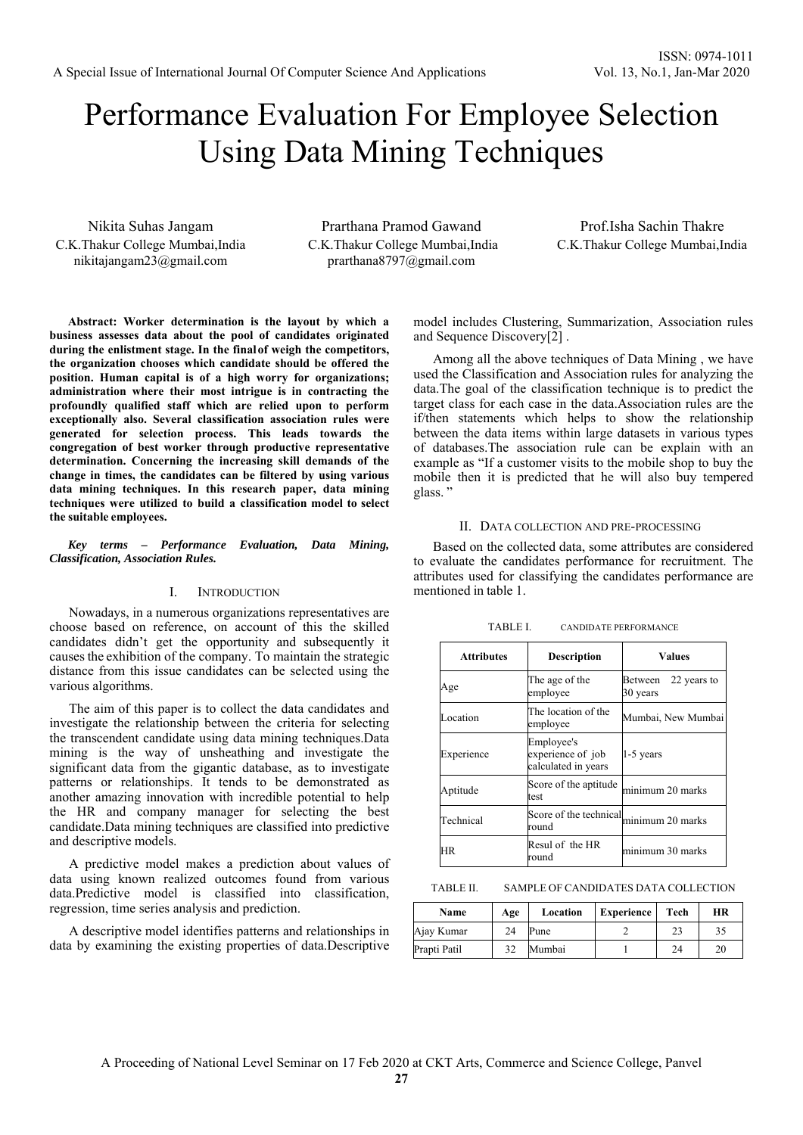# Performance Evaluation For Employee Selection Using Data Mining Techniques

Nikita Suhas Jangam C.K.Thakur College Mumbai,India nikitajangam23@gmail.com

Prarthana Pramod Gawand C.K.Thakur College Mumbai,India prarthana8797@gmail.com

Prof.Isha Sachin Thakre C.K.Thakur College Mumbai,India

**Abstract: Worker determination is the layout by which a business assesses data about the pool of candidates originated during the enlistment stage. In the final of weigh the competitors, the organization chooses which candidate should be offered the position. Human capital is of a high worry for organizations; administration where their most intrigue is in contracting the profoundly qualified staff which are relied upon to perform exceptionally also. Several classification association rules were generated for selection process. This leads towards the congregation of best worker through productive representative determination. Concerning the increasing skill demands of the change in times, the candidates can be filtered by using various data mining techniques. In this research paper, data mining techniques were utilized to build a classification model to select the suitable employees.** 

*Key terms – Performance Evaluation, Data Mining, Classification, Association Rules.* 

#### I. INTRODUCTION

Nowadays, in a numerous organizations representatives are choose based on reference, on account of this the skilled candidates didn't get the opportunity and subsequently it causes the exhibition of the company. To maintain the strategic distance from this issue candidates can be selected using the various algorithms.

The aim of this paper is to collect the data candidates and investigate the relationship between the criteria for selecting the transcendent candidate using data mining techniques.Data mining is the way of unsheathing and investigate the significant data from the gigantic database, as to investigate patterns or relationships. It tends to be demonstrated as another amazing innovation with incredible potential to help the HR and company manager for selecting the best candidate.Data mining techniques are classified into predictive and descriptive models.

A predictive model makes a prediction about values of data using known realized outcomes found from various data.Predictive model is classified into classification, regression, time series analysis and prediction.

A descriptive model identifies patterns and relationships in data by examining the existing properties of data.Descriptive model includes Clustering, Summarization, Association rules and Sequence Discovery[2] .

Among all the above techniques of Data Mining , we have used the Classification and Association rules for analyzing the data.The goal of the classification technique is to predict the target class for each case in the data.Association rules are the if/then statements which helps to show the relationship between the data items within large datasets in various types of databases.The association rule can be explain with an example as "If a customer visits to the mobile shop to buy the mobile then it is predicted that he will also buy tempered glass.

#### II. DATA COLLECTION AND PRE-PROCESSING

Based on the collected data, some attributes are considered to evaluate the candidates performance for recruitment. The attributes used for classifying the candidates performance are mentioned in table 1.

| <b>Attributes</b> | <b>Description</b>                                     | <b>Values</b>                      |  |  |
|-------------------|--------------------------------------------------------|------------------------------------|--|--|
| Age               | The age of the<br>employee                             | 22 years to<br>Between<br>30 years |  |  |
| Location          | The location of the<br>employee                        | Mumbai, New Mumbai                 |  |  |
| Experience        | Employee's<br>experience of job<br>calculated in years | 1-5 years                          |  |  |
| Aptitude          | Score of the aptitude<br>test                          | minimum 20 marks                   |  |  |
| Technical         | Score of the technical<br>round                        | minimum 20 marks                   |  |  |
| HR                | Resul of the HR<br>round                               | minimum 30 marks                   |  |  |

TABLE I. CANDIDATE PERFORMANCE

TABLE II. SAMPLE OF CANDIDATES DATA COLLECTION

| Name         | Age | Location | <b>Experience</b> | Tech | HR |
|--------------|-----|----------|-------------------|------|----|
| Ajay Kumar   | 24  | Pune     |                   | 23   |    |
| Prapti Patil | 32  | Mumbai   |                   | 24   | 20 |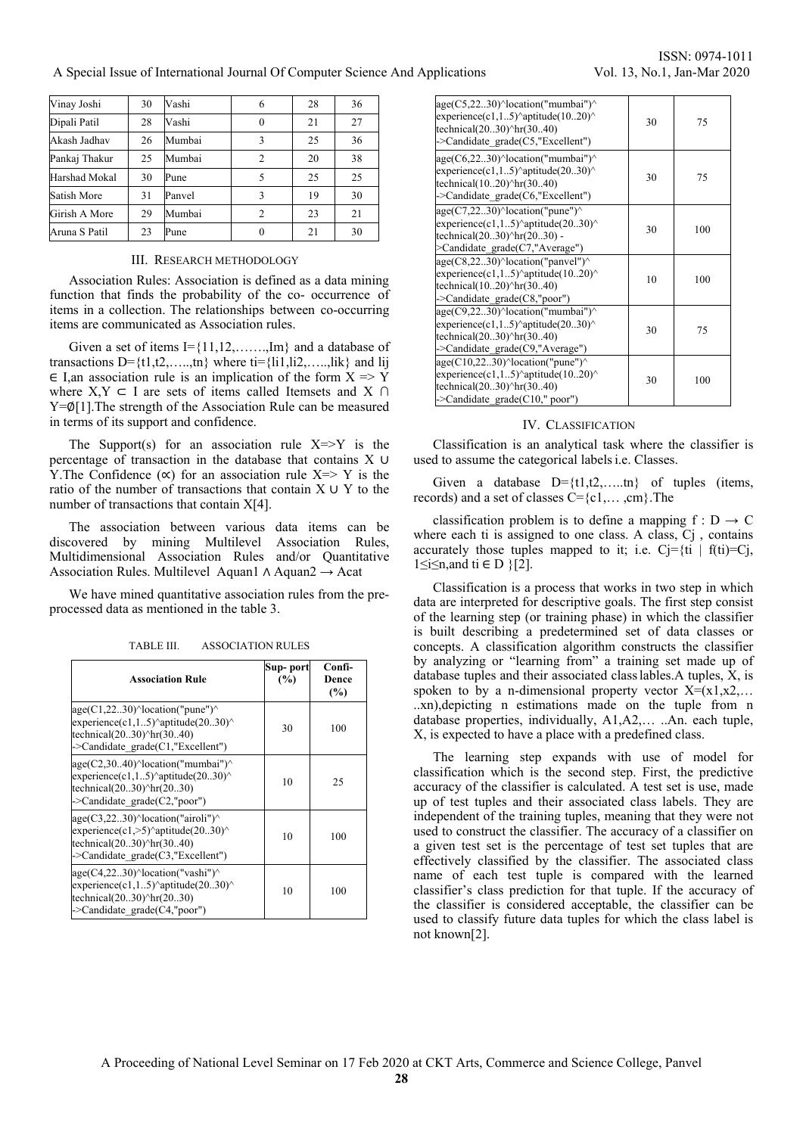## A Special Issue of International Journal Of Computer Science And Applications Vol. 13, No.1, Jan-Mar 2020

| Vinay Joshi   | 30 | Vashi  | 6              | 28 | 36 |
|---------------|----|--------|----------------|----|----|
| Dipali Patil  | 28 | Vashi  | $\theta$       | 21 | 27 |
| Akash Jadhav  | 26 | Mumbai | 3              | 25 | 36 |
| Pankaj Thakur | 25 | Mumbai | $\overline{c}$ | 20 | 38 |
| Harshad Mokal | 30 | Pune   | 5              | 25 | 25 |
| Satish More   | 31 | Panvel | 3              | 19 | 30 |
| Girish A More | 29 | Mumbai | $\overline{c}$ | 23 | 21 |
| Aruna S Patil | 23 | Pune   |                | 21 | 30 |

### III. RESEARCH METHODOLOGY

Association Rules: Association is defined as a data mining function that finds the probability of the co- occurrence of items in a collection. The relationships between co-occurring items are communicated as Association rules.

Given a set of items  $I = \{11, 12, \ldots, Im\}$  and a database of transactions D= $\{t1, t2, \ldots, tn\}$  where ti= $\{l11, l12, \ldots, l1k\}$  and lij  $\in$  I,an association rule is an implication of the form  $X \Rightarrow Y$ where  $X, Y \subset I$  are sets of items called Itemsets and X ∩ Y=∅[1].The strength of the Association Rule can be measured in terms of its support and confidence.

The Support(s) for an association rule  $X \Rightarrow Y$  is the percentage of transaction in the database that contains X ∪ Y. The Confidence  $(\infty)$  for an association rule X=> Y is the ratio of the number of transactions that contain X ∪ Y to the number of transactions that contain X[4].

The association between various data items can be discovered by mining Multilevel Association Rules, Multidimensional Association Rules and/or Quantitative Association Rules. Multilevel Aquan1 ∧ Aquan2 → Acat

We have mined quantitative association rules from the preprocessed data as mentioned in the table 3.

| <b>Association Rule</b>                                                                                                                                                                                    | Sup- port<br>(%) | Confi-<br>Dence<br>(%) |
|------------------------------------------------------------------------------------------------------------------------------------------------------------------------------------------------------------|------------------|------------------------|
| $age(C1, 22, .30)$ <sup><math>\land</math></sup> location("pune") $\land$<br>experience(c1,15) $\text{aptitude}(2030)$<br>technical $(2030)^{\text{h}}$ r $(3040)$<br>->Candidate $grade(C1, "Excellent")$ | 30               | 100                    |
| age(C2,3040)^location("mumbai")^<br>experience(c1,15) $\text{aptitude}(2030)$<br>technical $(2030)^{\text{h}}$ r $(2030)$<br>$\sim$ Candidate grade(C2,"poor")                                             | 10               | 25                     |
| $age(C3,2230)^{\wedge}location("airoli")^{\wedge}$<br>experience(c1,>5)^aptitude(2030)^<br>technical $(2030)^{\text{h}}$ r $(3040)$<br>->Candidate grade(C3,"Excellent")                                   | 10               | 100                    |
| $age(C4,2230)^{\wedge}location("vashi")^{\wedge}$<br>experience(c1,15) $\text{aptitude}(2030)$<br>technical $(2030)^{\text{h}}$ r $(2030)$<br>->Candidate_grade(C4,"poor")                                 | 10               | 100                    |

TABLE III. ASSOCIATION RULES

ISSN: 0974-1011

| age(C5,2230)^location("mumbai")^<br>experience(c1,15)^aptitude(1020)^<br>technical $(2030)^{\text{h}}$ r $(3040)$<br>->Candidate grade(C5,"Excellent")                         | 30 | 75  |
|--------------------------------------------------------------------------------------------------------------------------------------------------------------------------------|----|-----|
| age(C6,2230)^location("mumbai")^<br>experience(c1,15)^aptitude(2030)^<br>technical $(1020)^{\text{h}}$ r $(3040)$<br>->Candidate grade(C6,"Excellent")                         | 30 | 75  |
| $age(C7,2230)^{\wedge}location("pune")^{\wedge}$<br>experience(c1,15) $\text{aptitude}(2030)$<br>technical $(2030)^{\text{th}}r(2030)$ -<br>>Candidate grade(C7,"Average")     | 30 | 100 |
| $age(C8, 2230)^{\wedge}location("panvel")^{\wedge}$<br>experience(c1,15) $\text{aptitude}(1020)$<br>technical $(1020)^{h}$ r $(3040)$<br>$\sim$ Candidate grade $(C8$ ,"poor") | 10 | 100 |
| $age(C9, 22, .30)^{\wedge} location("mumbai")^{\wedge}$<br>experience(c1,15)^aptitude(2030)^<br>technical $(2030)^{\text{h}}$ r $(3040)$<br>->Candidate grade(C9,"Average")    | 30 | 75  |
| $age(C10,2230)^{\wedge}location("pune")^{\wedge}$<br>experience(c1,15) $\text{aptitude}(1020)$<br>technical $(2030)^{\text{h}}$ r $(3040)$<br>->Candidate_grade(C10," poor")   | 30 | 100 |

#### IV. CLASSIFICATION

Classification is an analytical task where the classifier is used to assume the categorical labels i.e. Classes.

Given a database  $D = \{t1, t2, \ldots, t_n\}$  of tuples (items, records) and a set of classes  $C = \{c1, \ldots, cm\}$ . The

classification problem is to define a mapping  $f : D \to C$ where each ti is assigned to one class. A class, C<sub>j</sub>, contains accurately those tuples mapped to it; i.e.  $Cj = \{ti \mid f(t) = Cj,$ 1≤i≤n, and ti  $\in$  D  $\{2\}$ .

Classification is a process that works in two step in which data are interpreted for descriptive goals. The first step consist of the learning step (or training phase) in which the classifier is built describing a predetermined set of data classes or concepts. A classification algorithm constructs the classifier by analyzing or "learning from" a training set made up of database tuples and their associated class lables.A tuples, X, is spoken to by a n-dimensional property vector  $X=(x_1,x_2,...)$ ..xn),depicting n estimations made on the tuple from n database properties, individually, A1,A2,… ..An. each tuple, X, is expected to have a place with a predefined class.

The learning step expands with use of model for classification which is the second step. First, the predictive accuracy of the classifier is calculated. A test set is use, made up of test tuples and their associated class labels. They are independent of the training tuples, meaning that they were not used to construct the classifier. The accuracy of a classifier on a given test set is the percentage of test set tuples that are effectively classified by the classifier. The associated class name of each test tuple is compared with the learned classifier's class prediction for that tuple. If the accuracy of the classifier is considered acceptable, the classifier can be used to classify future data tuples for which the class label is not known[2].